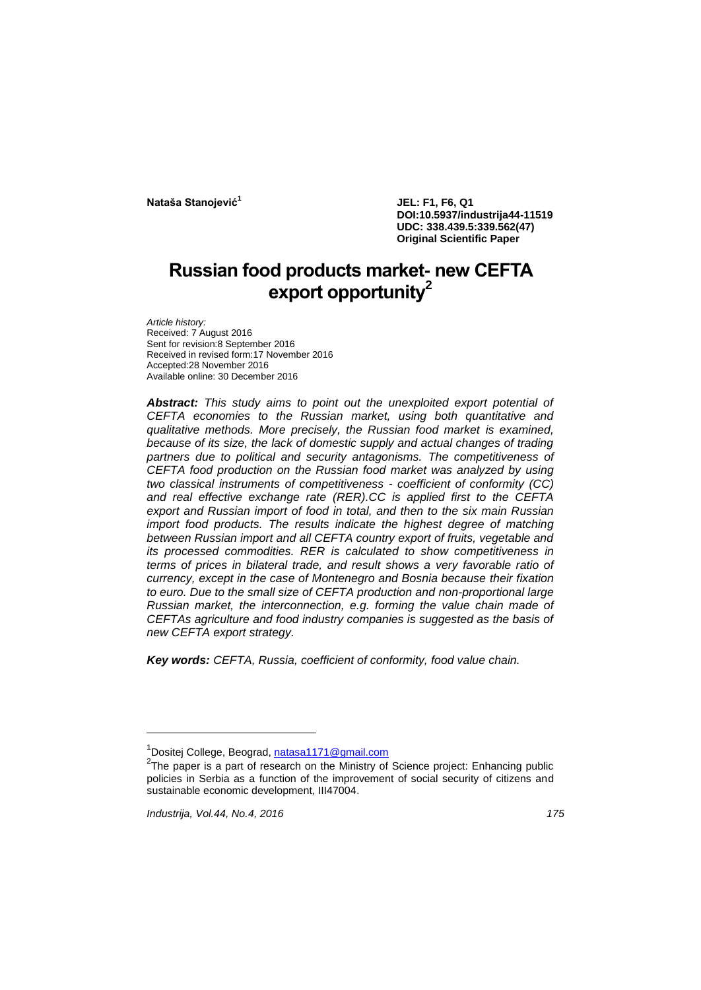**Nataša Stanojević<sup>1</sup>**

**JEL: F1, F6, Q1 DOI:10.5937/industrija44-11519 UDC: 338.439.5:339.562(47) Original Scientific Paper**

# **Russian food products market- new CEFTA export opportunity<sup>2</sup>**

*Article history:* Received: 7 August 2016 Sent for revision:8 September 2016 Received in revised form:17 November 2016 Accepted:28 November 2016 Available online: 30 December 2016

*Abstract: This study aims to point out the unexploited export potential of CEFTA economies to the Russian market, using both quantitative and qualitative methods. More precisely, the Russian food market is examined,*  because of its size, the lack of domestic supply and actual changes of trading *partners due to political and security antagonisms. The competitiveness of CEFTA food production on the Russian food market was analyzed by using two classical instruments of competitiveness - coefficient of conformity (CC) and real effective exchange rate (RER).CC is applied first to the CEFTA export and Russian import of food in total, and then to the six main Russian import food products. The results indicate the highest degree of matching between Russian import and all CEFTA country export of fruits, vegetable and its processed commodities. RER is calculated to show competitiveness in terms of prices in bilateral trade, and result shows a very favorable ratio of currency, except in the case of Montenegro and Bosnia because their fixation to euro. Due to the small size of CEFTA production and non-proportional large Russian market, the interconnection, e.g. forming the value chain made of CEFTAs agriculture and food industry companies is suggested as the basis of new CEFTA export strategy.*

*Key words: CEFTA, Russia, coefficient of conformity, food value chain.*

l

**<sup>1</sup>** Dositej College, Beograd, [natasa1171@gmail.com](mailto:natasa1171@gmail.com)

 $2$ The paper is a part of research on the Ministry of Science project: Enhancing public policies in Serbia as a function of the improvement of social security of citizens and sustainable economic development, III47004.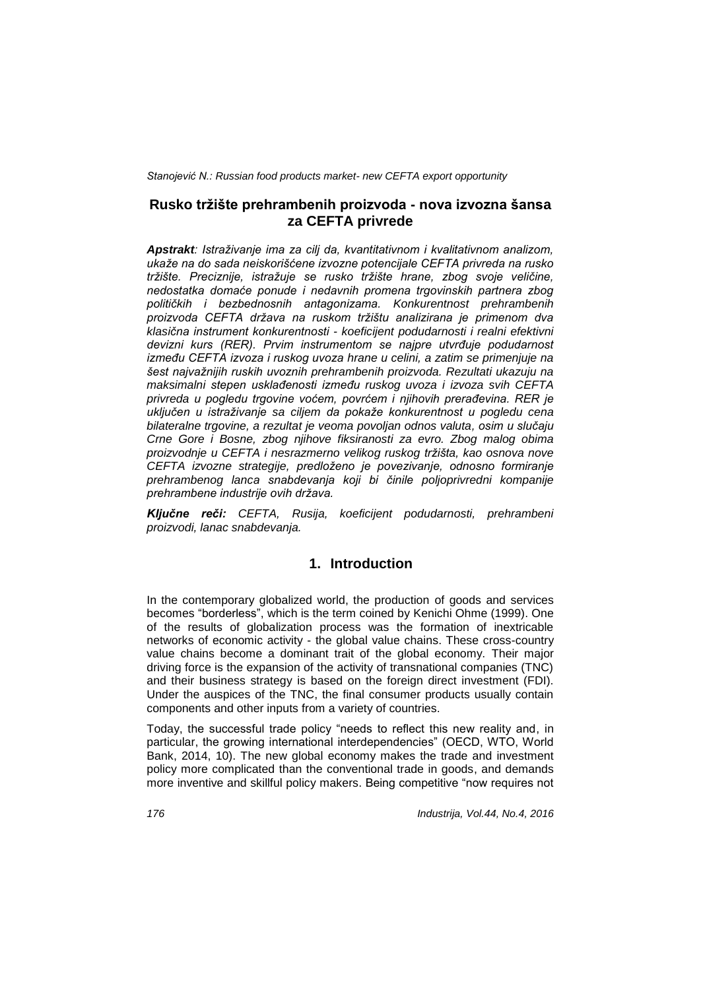## **Rusko tržište prehrambenih proizvoda - nova izvozna šansa za CEFTA privrede**

*Apstrakt: Istraživanje ima za cilj da, kvantitativnom i kvalitativnom analizom, ukaže na do sada neiskorišćene izvozne potencijale CEFTA privreda na rusko tržište. Preciznije, istražuje se rusko tržište hrane, zbog svoje veličine, nedostatka domaće ponude i nedavnih promena trgovinskih partnera zbog političkih i bezbednosnih antagonizama. Konkurentnost prehrambenih proizvoda CEFTA država na ruskom tržištu analizirana je primenom dva klasična instrument konkurentnosti - koeficijent podudarnosti i realni efektivni devizni kurs (RER). Prvim instrumentom se najpre utvrđuje podudarnost između CEFTA izvoza i ruskog uvoza hrane u celini, a zatim se primenjuje na šest najvažnijih ruskih uvoznih prehrambenih proizvoda. Rezultati ukazuju na maksimalni stepen usklađenosti između ruskog uvoza i izvoza svih CEFTA privreda u pogledu trgovine voćem, povrćem i njihovih prerađevina. RER je uključen u istraživanje sa ciljem da pokaže konkurentnost u pogledu cena bilateralne trgovine, a rezultat je veoma povoljan odnos valuta, osim u slučaju Crne Gore i Bosne, zbog njihove fiksiranosti za evro. Zbog malog obima proizvodnje u CEFTA i nesrazmerno velikog ruskog tržišta, kao osnova nove CEFTA izvozne strategije, predloženo je povezivanje, odnosno formiranje prehrambenog lanca snabdevanja koji bi činile poljoprivredni kompanije prehrambene industrije ovih država.*

*Ključne reči: CEFTA, Rusija, koeficijent podudarnosti, prehrambeni proizvodi, lanac snabdevanja.*

# **1. Introduction**

In the contemporary globalized world, the production of goods and services becomes "borderless", which is the term coined by Kenichi Ohme (1999). One of the results of globalization process was the formation of inextricable networks of economic activity - the global value chains. These cross-country value chains become a dominant trait of the global economy. Their major driving force is the expansion of the activity of transnational companies (TNC) and their business strategy is based on the foreign direct investment (FDI). Under the auspices of the TNC, the final consumer products usually contain components and other inputs from a variety of countries.

Today, the successful trade policy "needs to reflect this new reality and, in particular, the growing international interdependencies" (OECD, WTO, World Bank, 2014, 10). The new global economy makes the trade and investment policy more complicated than the conventional trade in goods, and demands more inventive and skillful policy makers. Being competitive "now requires not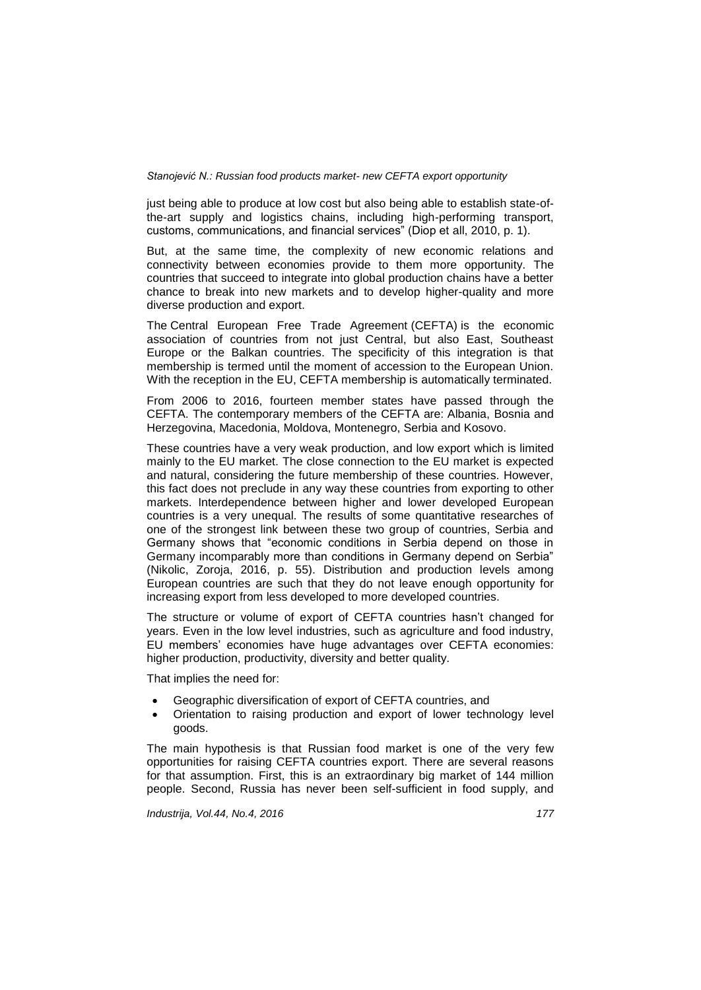just being able to produce at low cost but also being able to establish state-ofthe-art supply and logistics chains, including high-performing transport, customs, communications, and financial services" (Diop et all, 2010, p. 1).

But, at the same time, the complexity of new economic relations and connectivity between economies provide to them more opportunity. The countries that succeed to integrate into global production chains have a better chance to break into new markets and to develop higher-quality and more diverse production and export.

The Central European Free Trade Agreement (CEFTA) is the economic association of countries from not just Central, but also East, Southeast Europe or the Balkan countries. The specificity of this integration is that membership is termed until the moment of accession to the European Union. With the reception in the EU, CEFTA membership is automatically terminated.

From 2006 to 2016, fourteen member states have passed through the CEFTA. The contemporary members of the CEFTA are: Albania, Bosnia and Herzegovina, Macedonia, Moldova, Montenegro, Serbia and Kosovo.

These countries have a very weak production, and low export which is limited mainly to the EU market. The close connection to the EU market is expected and natural, considering the future membership of these countries. However, this fact does not preclude in any way these countries from exporting to other markets. Interdependence between higher and lower developed European countries is a very unequal. The results of some quantitative researches of one of the strongest link between these two group of countries, Serbia and Germany shows that "economic conditions in Serbia depend on those in Germany incomparably more than conditions in Germany depend on Serbia" (Nikolic, Zoroja, 2016, p. 55). Distribution and production levels among European countries are such that they do not leave enough opportunity for increasing export from less developed to more developed countries.

The structure or volume of export of CEFTA countries hasn't changed for years. Even in the low level industries, such as agriculture and food industry, EU members' economies have huge advantages over CEFTA economies: higher production, productivity, diversity and better quality.

That implies the need for:

- Geographic diversification of export of CEFTA countries, and
- Orientation to raising production and export of lower technology level goods.

The main hypothesis is that Russian food market is one of the very few opportunities for raising CEFTA countries export. There are several reasons for that assumption. First, this is an extraordinary big market of 144 million people. Second, Russia has never been self-sufficient in food supply, and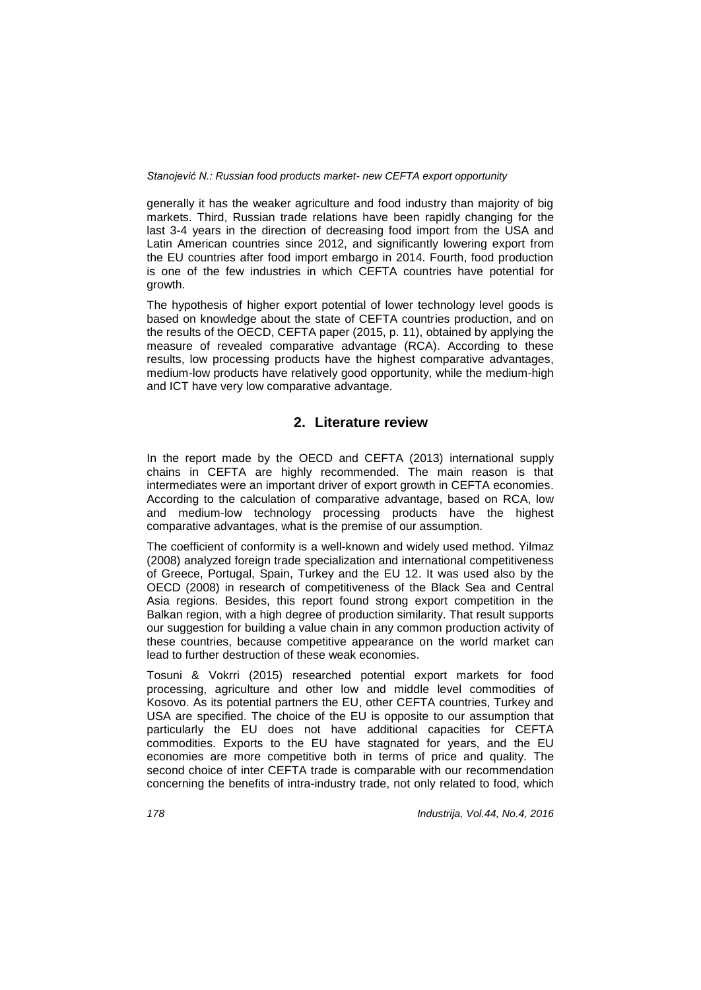generally it has the weaker agriculture and food industry than majority of big markets. Third, Russian trade relations have been rapidly changing for the last 3-4 years in the direction of decreasing food import from the USA and Latin American countries since 2012, and significantly lowering export from the EU countries after food import embargo in 2014. Fourth, food production is one of the few industries in which CEFTA countries have potential for growth.

The hypothesis of higher export potential of lower technology level goods is based on knowledge about the state of CEFTA countries production, and on the results of the OECD, CEFTA paper (2015, p. 11), obtained by applying the measure of revealed comparative advantage (RCA). According to these results, low processing products have the highest comparative advantages, medium-low products have relatively good opportunity, while the medium-high and ICT have very low comparative advantage.

# **2. Literature review**

In the report made by the OECD and CEFTA (2013) international supply chains in CEFTA are highly recommended. The main reason is that intermediates were an important driver of export growth in CEFTA economies. According to the calculation of comparative advantage, based on RCA, low and medium-low technology processing products have the highest comparative advantages, what is the premise of our assumption.

The coefficient of conformity is a well-known and widely used method. Yilmaz (2008) analyzed foreign trade specialization and international competitiveness of Greece, Portugal, Spain, Turkey and the EU 12. It was used also by the OECD (2008) in research of competitiveness of the Black Sea and Central Asia regions. Besides, this report found strong export competition in the Balkan region, with a high degree of production similarity. That result supports our suggestion for building a value chain in any common production activity of these countries, because competitive appearance on the world market can lead to further destruction of these weak economies.

Tosuni & Vokrri (2015) researched potential export markets for food processing, agriculture and other low and middle level commodities of Kosovo. As its potential partners the EU, other CEFTA countries, Turkey and USA are specified. The choice of the EU is opposite to our assumption that particularly the EU does not have additional capacities for CEFTA commodities. Exports to the EU have stagnated for years, and the EU economies are more competitive both in terms of price and quality. The second choice of inter CEFTA trade is comparable with our recommendation concerning the benefits of intra-industry trade, not only related to food, which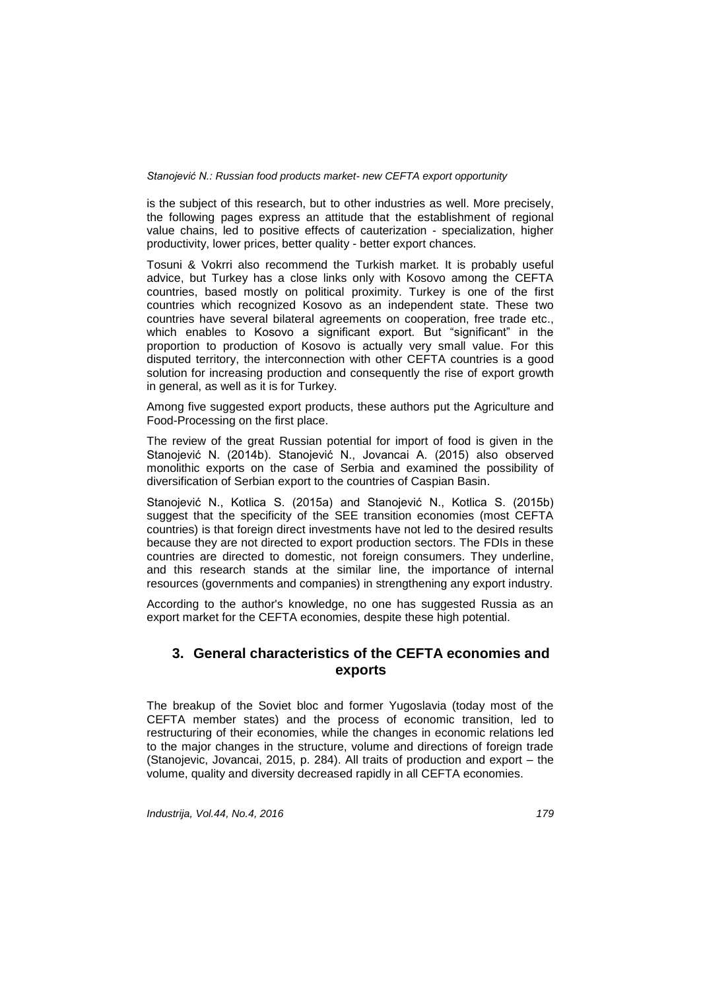is the subject of this research, but to other industries as well. More precisely, the following pages express an attitude that the establishment of regional value chains, led to positive effects of cauterization - specialization, higher productivity, lower prices, better quality - better export chances.

Tosuni & Vokrri also recommend the Turkish market. It is probably useful advice, but Turkey has a close links only with Kosovo among the CEFTA countries, based mostly on political proximity. Turkey is one of the first countries which recognized Kosovo as an independent state. These two countries have several bilateral agreements on cooperation, free trade etc., which enables to Kosovo a significant export. But "significant" in the proportion to production of Kosovo is actually very small value. For this disputed territory, the interconnection with other CEFTA countries is a good solution for increasing production and consequently the rise of export growth in general, as well as it is for Turkey.

Among five suggested export products, these authors put the Agriculture and Food-Processing on the first place.

The review of the great Russian potential for import of food is given in the Stanojević N. (2014b). Stanojević N., Jovancai A. (2015) also observed monolithic exports on the case of Serbia and examined the possibility of diversification of Serbian export to the countries of Caspian Basin.

Stanojević N., Kotlica S. (2015a) and Stanojević N., Kotlica S. (2015b) suggest that the specificity of the SEE transition economies (most CEFTA countries) is that foreign direct investments have not led to the desired results because they are not directed to export production sectors. The FDIs in these countries are directed to domestic, not foreign consumers. They underline, and this research stands at the similar line, the importance of internal resources (governments and companies) in strengthening any export industry.

According to the author's knowledge, no one has suggested Russia as an export market for the CEFTA economies, despite these high potential.

# **3. General characteristics of the CEFTA economies and exports**

The breakup of the Soviet bloc and former Yugoslavia (today most of the CEFTA member states) and the process of economic transition, led to restructuring of their economies, while the changes in economic relations led to the major changes in the structure, volume and directions of foreign trade (Stanojevic, Jovancai, 2015, p. 284). All traits of production and export – the volume, quality and diversity decreased rapidly in all CEFTA economies.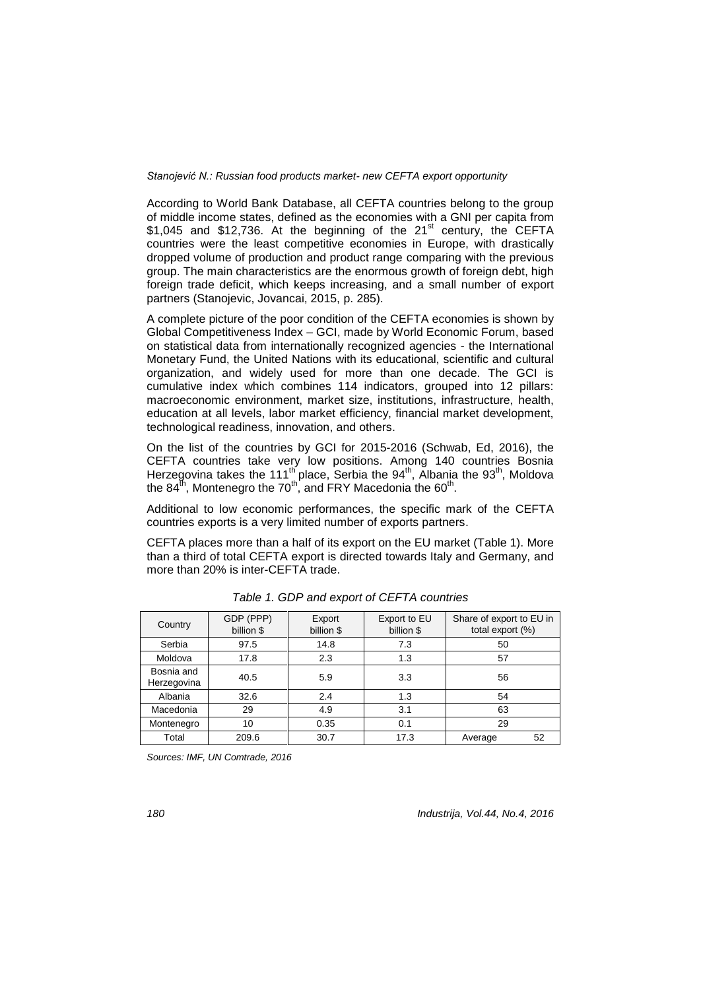According to World Bank Database, all CEFTA countries belong to the group of middle income states, defined as the economies with a GNI per capita from \$1,045 and \$12,736. At the beginning of the 21<sup>st</sup> century, the CEFTA countries were the least competitive economies in Europe, with drastically dropped volume of production and product range comparing with the previous group. The main characteristics are the enormous growth of foreign debt, high foreign trade deficit, which keeps increasing, and a small number of export partners (Stanojevic, Jovancai, 2015, p. 285).

A complete picture of the poor condition of the CEFTA economies is shown by Global Competitiveness Index – GCI, made by World Economic Forum, based on statistical data from internationally recognized agencies - the International Monetary Fund, the United Nations with its educational, scientific and cultural organization, and widely used for more than one decade. The GCI is cumulative index which combines 114 indicators, grouped into 12 pillars: macroeconomic environment, market size, institutions, infrastructure, health, education at all levels, labor market efficiency, financial market development, technological readiness, innovation, and others.

On the list of the countries by GCI for 2015-2016 (Schwab, Ed, 2016), the CEFTA countries take very low positions. Among 140 countries Bosnia Herzegovina takes the 111<sup>th</sup> place, Serbia the 94<sup>th</sup>, Albania the 93<sup>th</sup>, Moldova the 84<sup>th</sup>, Montenegro the 70<sup>th</sup>, and FRY Macedonia the 60<sup>th</sup>.

Additional to low economic performances, the specific mark of the CEFTA countries exports is a very limited number of exports partners.

CEFTA places more than a half of its export on the EU market (Table 1). More than a third of total CEFTA export is directed towards Italy and Germany, and more than 20% is inter-CEFTA trade.

| Country                   | GDP (PPP)<br>billion \$ | Export<br>billion \$ | Export to EU<br>billion \$ | Share of export to EU in<br>total export (%) |  |
|---------------------------|-------------------------|----------------------|----------------------------|----------------------------------------------|--|
| Serbia                    | 97.5                    | 14.8                 | 7.3                        | 50                                           |  |
| Moldova                   | 17.8                    | 2.3                  | 1.3                        | 57                                           |  |
| Bosnia and<br>Herzegovina | 40.5                    | 5.9                  | 3.3                        | 56                                           |  |
| Albania                   | 32.6                    | 2.4                  | 1.3                        | 54                                           |  |
| Macedonia                 | 29                      | 4.9                  | 3.1                        | 63                                           |  |
| Montenegro                | 10                      | 0.35                 | 0.1                        | 29                                           |  |
| Total                     | 209.6                   | 30.7                 | 17.3                       | 52<br>Average                                |  |

*Table 1. GDP and export of CEFTA countries*

*Sources: IMF, UN Comtrade, 2016*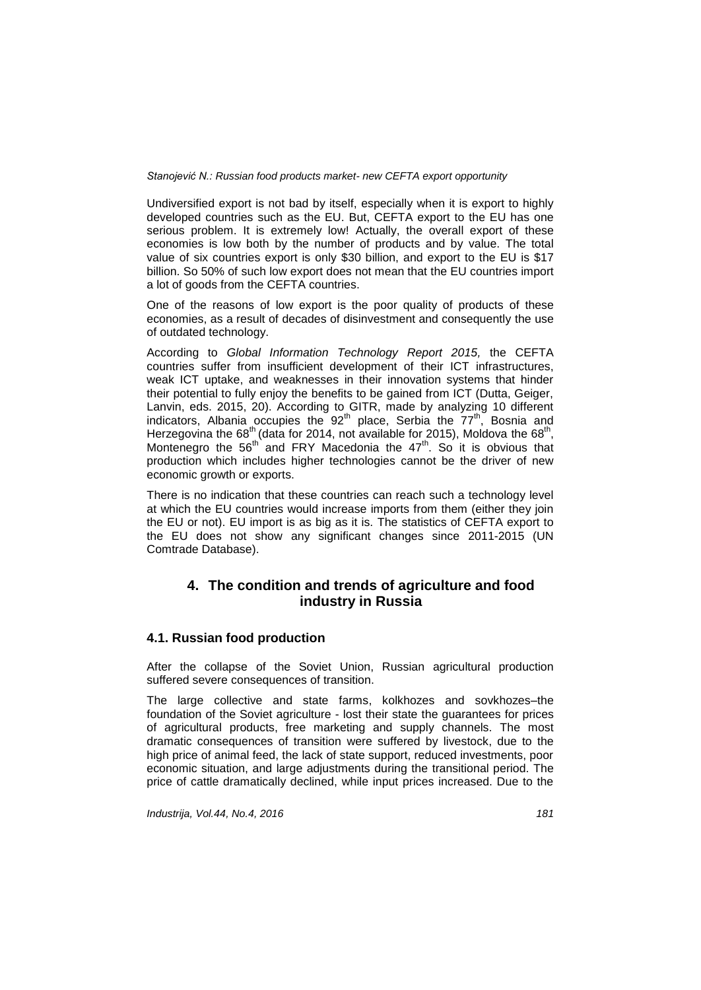Undiversified export is not bad by itself, especially when it is export to highly developed countries such as the EU. But, CEFTA export to the EU has one serious problem. It is extremely low! Actually, the overall export of these economies is low both by the number of products and by value. The total value of six countries export is only \$30 billion, and export to the EU is \$17 billion. So 50% of such low export does not mean that the EU countries import a lot of goods from the CEFTA countries.

One of the reasons of low export is the poor quality of products of these economies, as a result of decades of disinvestment and consequently the use of outdated technology.

According to *Global Information Technology Report 2015,* the CEFTA countries suffer from insufficient development of their ICT infrastructures, weak ICT uptake, and weaknesses in their innovation systems that hinder their potential to fully enjoy the benefits to be gained from ICT (Dutta, Geiger, Lanvin, eds. 2015, 20). According to GITR, made by analyzing 10 different indicators, Albania occupies the  $92<sup>th</sup>$  place, Serbia the  $77<sup>th</sup>$ , Bosnia and Herzegovina the 68<sup>th</sup> (data for 2014, not available for 2015), Moldova the 68<sup>th</sup>, Montenegro the  $56<sup>th</sup>$  and FRY Macedonia the  $47<sup>th</sup>$ . So it is obvious that production which includes higher technologies cannot be the driver of new economic growth or exports.

There is no indication that these countries can reach such a technology level at which the EU countries would increase imports from them (either they join the EU or not). EU import is as big as it is. The statistics of CEFTA export to the EU does not show any significant changes since 2011-2015 (UN Comtrade Database).

# **4. The condition and trends of agriculture and food industry in Russia**

### **4.1. Russian food production**

After the collapse of the Soviet Union, Russian agricultural production suffered severe consequences of transition.

The large collective and state farms, kolkhozes and sovkhozes–the foundation of the Soviet agriculture - lost their state the guarantees for prices of agricultural products, free marketing and supply channels. The most dramatic consequences of transition were suffered by livestock, due to the high price of animal feed, the lack of state support, reduced investments, poor economic situation, and large adjustments during the transitional period. The price of cattle dramatically declined, while input prices increased. Due to the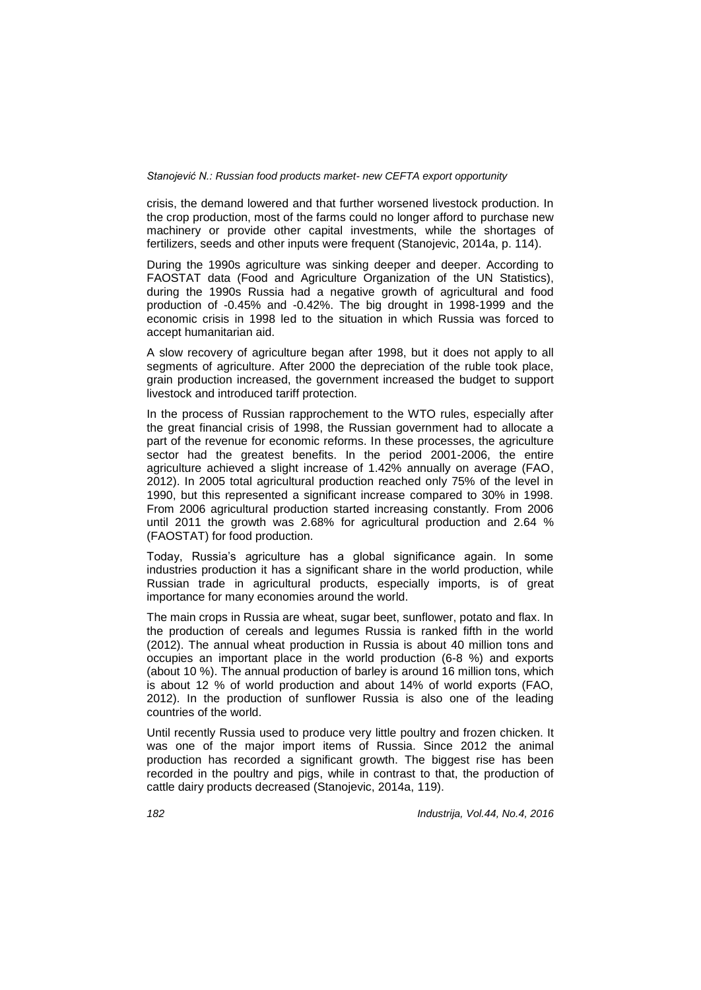crisis, the demand lowered and that further worsened livestock production. In the crop production, most of the farms could no longer afford to purchase new machinery or provide other capital investments, while the shortages of fertilizers, seeds and other inputs were frequent (Stanojevic, 2014a, p. 114).

During the 1990s agriculture was sinking deeper and deeper. According to FAOSTAT data (Food and Agriculture Organization of the UN Statistics), during the 1990s Russia had a negative growth of agricultural and food production of -0.45% and -0.42%. The big drought in 1998-1999 and the economic crisis in 1998 led to the situation in which Russia was forced to accept humanitarian aid.

A slow recovery of agriculture began after 1998, but it does not apply to all segments of agriculture. After 2000 the depreciation of the ruble took place, grain production increased, the government increased the budget to support livestock and introduced tariff protection.

In the process of Russian rapprochement to the WTO rules, especially after the great financial crisis of 1998, the Russian government had to allocate a part of the revenue for economic reforms. In these processes, the agriculture sector had the greatest benefits. In the period 2001-2006, the entire agriculture achieved a slight increase of 1.42% annually on average (FAO, 2012). In 2005 total agricultural production reached only 75% of the level in 1990, but this represented a significant increase compared to 30% in 1998. From 2006 agricultural production started increasing constantly. From 2006 until 2011 the growth was 2.68% for agricultural production and 2.64 % (FAOSTAT) for food production.

Today, Russia's agriculture has a global significance again. In some industries production it has a significant share in the world production, while Russian trade in agricultural products, especially imports, is of great importance for many economies around the world.

The main crops in Russia are wheat, sugar beet, sunflower, potato and flax. In the production of cereals and legumes Russia is ranked fifth in the world (2012). The annual wheat production in Russia is about 40 million tons and occupies an important place in the world production (6-8 %) and exports (about 10 %). The annual production of barley is around 16 million tons, which is about 12 % of world production and about 14% of world exports (FAO, 2012). In the production of sunflower Russia is also one of the leading countries of the world.

Until recently Russia used to produce very little poultry and frozen chicken. It was one of the major import items of Russia. Since 2012 the animal production has recorded a significant growth. The biggest rise has been recorded in the poultry and pigs, while in contrast to that, the production of cattle dairy products decreased (Stanojevic, 2014a, 119).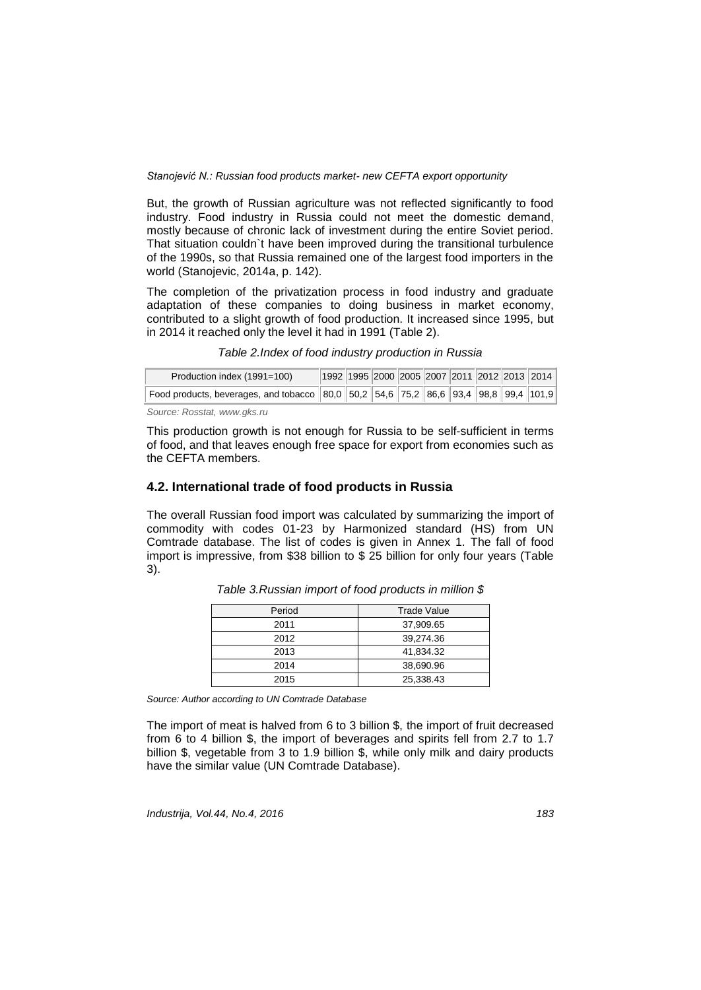But, the growth of Russian agriculture was not reflected significantly to food industry. Food industry in Russia could not meet the domestic demand, mostly because of chronic lack of investment during the entire Soviet period. That situation couldn`t have been improved during the transitional turbulence of the 1990s, so that Russia remained one of the largest food importers in the world (Stanojevic, 2014a, p. 142).

The completion of the privatization process in food industry and graduate adaptation of these companies to doing business in market economy, contributed to a slight growth of food production. It increased since 1995, but in 2014 it reached only the level it had in 1991 (Table 2).

*Table 2.Index of food industry production in Russia*

| Production index (1991=100)                                                            |  |  |  |  | 1992  1995  2000  2005  2007  2011  2012  2013   2014 |
|----------------------------------------------------------------------------------------|--|--|--|--|-------------------------------------------------------|
| Food products, beverages, and tobacco $ 80,0 50,2 54,6 75,2 86,6 93,4 98,8 99,4 101,9$ |  |  |  |  |                                                       |
|                                                                                        |  |  |  |  |                                                       |

*Source: Rosstat, [www.gks.ru](http://www.gks.ru/)*

This production growth is not enough for Russia to be self-sufficient in terms of food, and that leaves enough free space for export from economies such as the CEFTA members.

### **4.2. International trade of food products in Russia**

The overall Russian food import was calculated by summarizing the import of commodity with codes 01-23 by Harmonized standard (HS) from UN Comtrade database. The list of codes is given in Annex 1. The fall of food import is impressive, from \$38 billion to \$ 25 billion for only four years (Table 3).

| Period | <b>Trade Value</b> |
|--------|--------------------|
| 2011   | 37,909.65          |
| 2012   | 39,274.36          |
| 2013   | 41,834.32          |
| 2014   | 38,690.96          |
| 2015   | 25,338.43          |

*Table 3.Russian import of food products in million \$*

*Source: Author according to UN Comtrade Database*

The import of meat is halved from 6 to 3 billion \$, the import of fruit decreased from 6 to 4 billion \$, the import of beverages and spirits fell from 2.7 to 1.7 billion \$, vegetable from 3 to 1.9 billion \$, while only milk and dairy products have the similar value (UN Comtrade Database).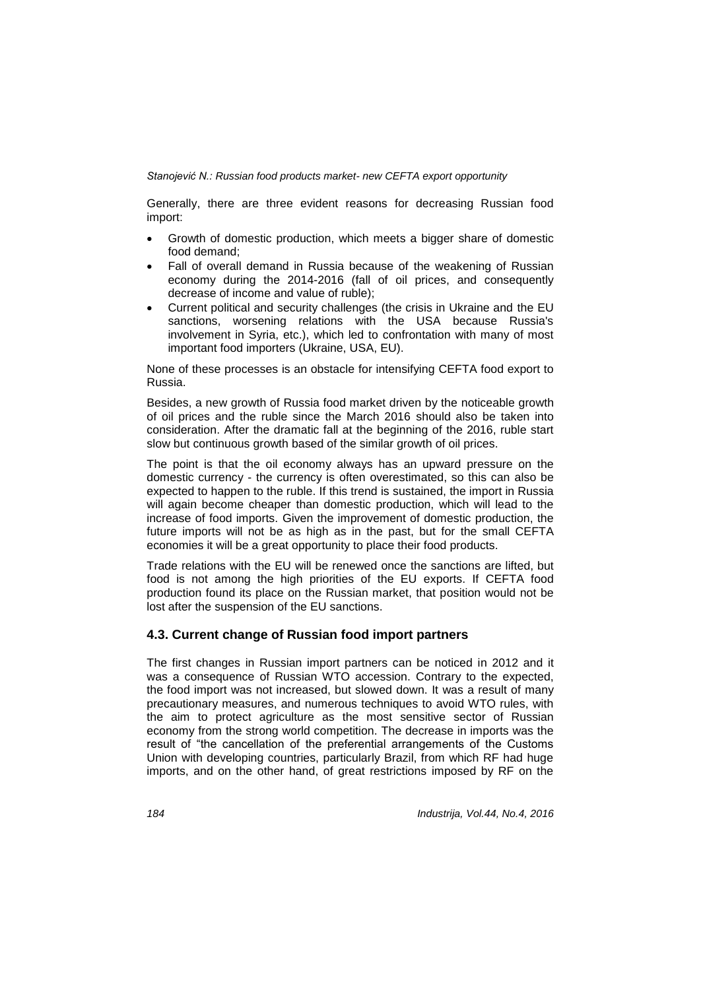Generally, there are three evident reasons for decreasing Russian food import:

- Growth of domestic production, which meets a bigger share of domestic food demand;
- Fall of overall demand in Russia because of the weakening of Russian economy during the 2014-2016 (fall of oil prices, and consequently decrease of income and value of ruble);
- Current political and security challenges (the crisis in Ukraine and the EU sanctions, worsening relations with the USA because Russia's involvement in Syria, etc.), which led to confrontation with many of most important food importers (Ukraine, USA, EU).

None of these processes is an obstacle for intensifying CEFTA food export to Russia.

Besides, a new growth of Russia food market driven by the noticeable growth of oil prices and the ruble since the March 2016 should also be taken into consideration. After the dramatic fall at the beginning of the 2016, ruble start slow but continuous growth based of the similar growth of oil prices.

The point is that the oil economy always has an upward pressure on the domestic currency - the currency is often overestimated, so this can also be expected to happen to the ruble. If this trend is sustained, the import in Russia will again become cheaper than domestic production, which will lead to the increase of food imports. Given the improvement of domestic production, the future imports will not be as high as in the past, but for the small CEFTA economies it will be a great opportunity to place their food products.

Trade relations with the EU will be renewed once the sanctions are lifted, but food is not among the high priorities of the EU exports. If CEFTA food production found its place on the Russian market, that position would not be lost after the suspension of the EU sanctions.

### **4.3. Current change of Russian food import partners**

The first changes in Russian import partners can be noticed in 2012 and it was a consequence of Russian WTO accession. Contrary to the expected, the food import was not increased, but slowed down. It was a result of many precautionary measures, and numerous techniques to avoid WTO rules, with the aim to protect agriculture as the most sensitive sector of Russian economy from the strong world competition. The decrease in imports was the result of "the cancellation of the preferential arrangements of the Customs Union with developing countries, particularly Brazil, from which RF had huge imports, and on the other hand, of great restrictions imposed by RF on the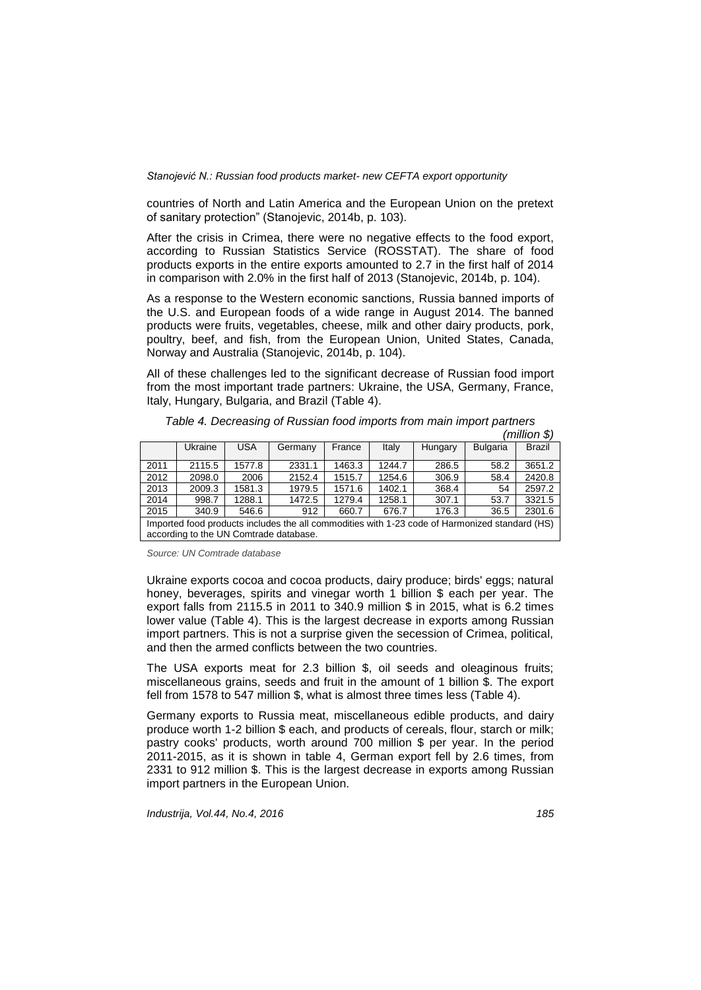countries of North and Latin America and the European Union on the pretext of sanitary protection" (Stanojevic, 2014b, p. 103).

After the crisis in Crimea, there were no negative effects to the food export, according to Russian Statistics Service (ROSSTAT). The share of food products exports in the entire exports amounted to 2.7 in the first half of 2014 in comparison with 2.0% in the first half of 2013 (Stanojevic, 2014b, p. 104).

As a response to the Western economic sanctions, Russia banned imports of the U.S. and European foods of a wide range in August 2014. The banned products were fruits, vegetables, cheese, milk and other dairy products, pork, poultry, beef, and fish, from the European Union, United States, Canada, Norway and Australia (Stanojevic, 2014b, p. 104).

All of these challenges led to the significant decrease of Russian food import from the most important trade partners: Ukraine, the USA, Germany, France, Italy, Hungary, Bulgaria, and Brazil (Table 4).

|                                                                                                                                          |         |            |         |        |        |         |                 | נט ווטווווווווווווווווו |
|------------------------------------------------------------------------------------------------------------------------------------------|---------|------------|---------|--------|--------|---------|-----------------|-------------------------|
|                                                                                                                                          | Ukraine | <b>USA</b> | Germany | France | Italy  | Hungary | <b>Bulgaria</b> | <b>Brazil</b>           |
| 2011                                                                                                                                     | 2115.5  | 1577.8     | 2331.1  | 1463.3 | 1244.7 | 286.5   | 58.2            | 3651.2                  |
| 2012                                                                                                                                     | 2098.0  | 2006       | 2152.4  | 1515.7 | 1254.6 | 306.9   | 58.4            | 2420.8                  |
| 2013                                                                                                                                     | 2009.3  | 1581.3     | 1979.5  | 1571.6 | 1402.1 | 368.4   | 54              | 2597.2                  |
| 2014                                                                                                                                     | 998.7   | 1288.1     | 1472.5  | 1279.4 | 1258.1 | 307.1   | 53.7            | 3321.5                  |
| 2015                                                                                                                                     | 340.9   | 546.6      | 912     | 660.7  | 676.7  | 176.3   | 36.5            | 2301.6                  |
| Imported food products includes the all commodities with 1-23 code of Harmonized standard (HS)<br>according to the UN Comtrade database. |         |            |         |        |        |         |                 |                         |

*Table 4. Decreasing of Russian food imports from main import partners*  $(million$  $()$ 

*Source: UN Comtrade database*

Ukraine exports cocoa and cocoa products, dairy produce; birds' eggs; natural honey, beverages, spirits and vinegar worth 1 billion \$ each per year. The export falls from 2115.5 in 2011 to 340.9 million \$ in 2015, what is 6.2 times lower value (Table 4). This is the largest decrease in exports among Russian import partners. This is not a surprise given the secession of Crimea, political, and then the armed conflicts between the two countries.

The USA exports meat for 2.3 billion \$, oil seeds and oleaginous fruits; miscellaneous grains, seeds and fruit in the amount of 1 billion \$. The export fell from 1578 to 547 million \$, what is almost three times less (Table 4).

Germany exports to Russia meat, miscellaneous edible products, and dairy produce worth 1-2 billion \$ each, and products of cereals, flour, starch or milk; pastry cooks' products, worth around 700 million \$ per year. In the period 2011-2015, as it is shown in table 4, German export fell by 2.6 times, from 2331 to 912 million \$. This is the largest decrease in exports among Russian import partners in the European Union.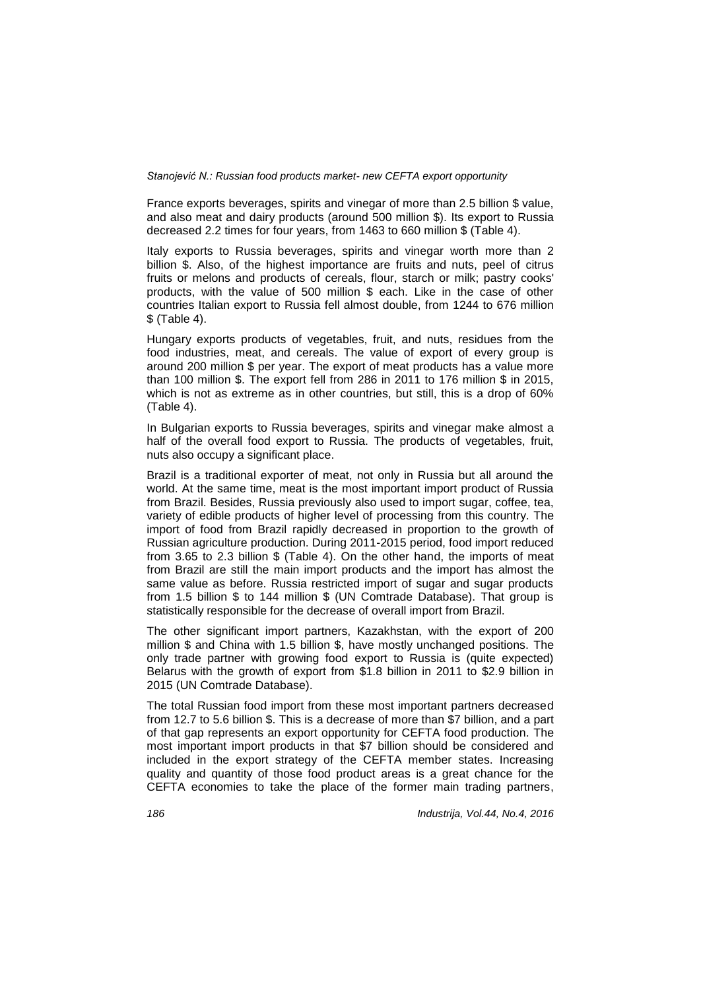France exports beverages, spirits and vinegar of more than 2.5 billion \$ value, and also meat and dairy products (around 500 million \$). Its export to Russia decreased 2.2 times for four years, from 1463 to 660 million \$ (Table 4).

Italy exports to Russia beverages, spirits and vinegar worth more than 2 billion \$. Also, of the highest importance are fruits and nuts, peel of citrus fruits or melons and products of cereals, flour, starch or milk; pastry cooks' products, with the value of 500 million \$ each. Like in the case of other countries Italian export to Russia fell almost double, from 1244 to 676 million \$ (Table 4).

Hungary exports products of vegetables, fruit, and nuts, residues from the food industries, meat, and cereals. The value of export of every group is around 200 million \$ per year. The export of meat products has a value more than 100 million \$. The export fell from 286 in 2011 to 176 million \$ in 2015, which is not as extreme as in other countries, but still, this is a drop of 60% (Table 4).

In Bulgarian exports to Russia beverages, spirits and vinegar make almost a half of the overall food export to Russia. The products of vegetables, fruit, nuts also occupy a significant place.

Brazil is a traditional exporter of meat, not only in Russia but all around the world. At the same time, meat is the most important import product of Russia from Brazil. Besides, Russia previously also used to import sugar, coffee, tea, variety of edible products of higher level of processing from this country. The import of food from Brazil rapidly decreased in proportion to the growth of Russian agriculture production. During 2011-2015 period, food import reduced from 3.65 to 2.3 billion \$ (Table 4). On the other hand, the imports of meat from Brazil are still the main import products and the import has almost the same value as before. Russia restricted import of sugar and sugar products from 1.5 billion \$ to 144 million \$ (UN Comtrade Database). That group is statistically responsible for the decrease of overall import from Brazil.

The other significant import partners, Kazakhstan, with the export of 200 million \$ and China with 1.5 billion \$, have mostly unchanged positions. The only trade partner with growing food export to Russia is (quite expected) Belarus with the growth of export from \$1.8 billion in 2011 to \$2.9 billion in 2015 (UN Comtrade Database).

The total Russian food import from these most important partners decreased from 12.7 to 5.6 billion \$. This is a decrease of more than \$7 billion, and a part of that gap represents an export opportunity for CEFTA food production. The most important import products in that \$7 billion should be considered and included in the export strategy of the CEFTA member states. Increasing quality and quantity of those food product areas is a great chance for the CEFTA economies to take the place of the former main trading partners,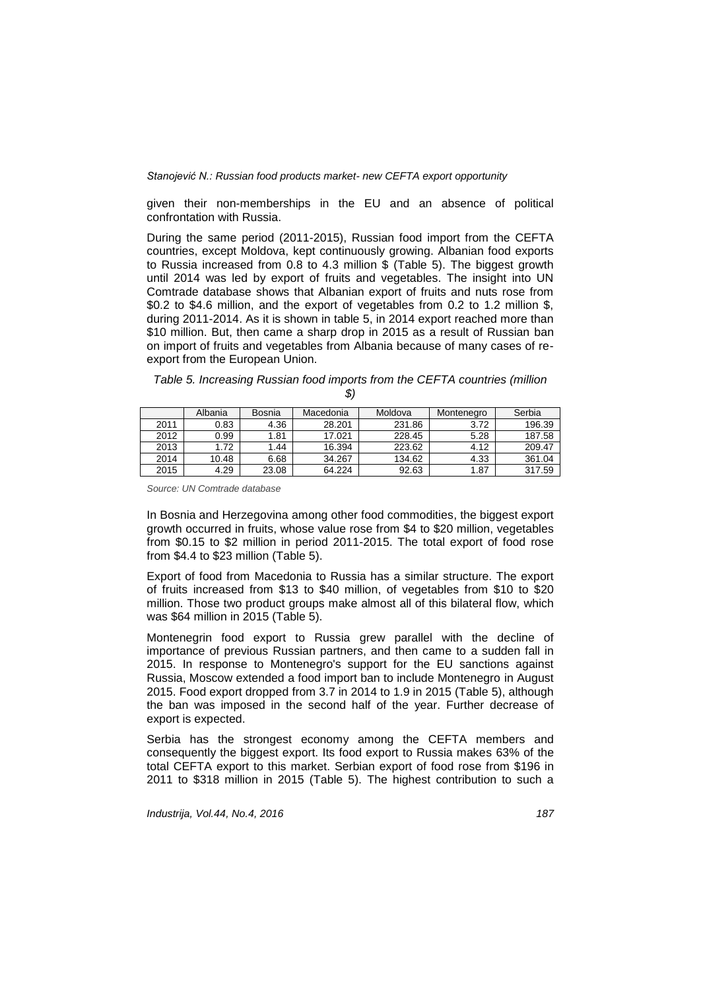given their non-memberships in the EU and an absence of political confrontation with Russia.

During the same period (2011-2015), Russian food import from the CEFTA countries, except Moldova, kept continuously growing. Albanian food exports to Russia increased from 0.8 to 4.3 million \$ (Table 5). The biggest growth until 2014 was led by export of fruits and vegetables. The insight into UN Comtrade database shows that Albanian export of fruits and nuts rose from \$0.2 to \$4.6 million, and the export of vegetables from 0.2 to 1.2 million \$, during 2011-2014. As it is shown in table 5, in 2014 export reached more than \$10 million. But, then came a sharp drop in 2015 as a result of Russian ban on import of fruits and vegetables from Albania because of many cases of reexport from the European Union.

| Table 5. Increasing Russian food imports from the CEFTA countries (million |  |
|----------------------------------------------------------------------------|--|
|                                                                            |  |

|      | Albania | Bosnia | Macedonia | Moldova | Montenegro | Serbia |
|------|---------|--------|-----------|---------|------------|--------|
| 2011 | 0.83    | 4.36   | 28.201    | 231.86  | 3.72       | 196.39 |
| 2012 | 0.99    | 1.81   | 17.021    | 228.45  | 5.28       | 187.58 |
| 2013 | 1.72    | 1.44   | 16.394    | 223.62  | 4.12       | 209.47 |
| 2014 | 10.48   | 6.68   | 34.267    | 134.62  | 4.33       | 361.04 |
| 2015 | 4.29    | 23.08  | 64.224    | 92.63   | 1.87       | 317.59 |

*Source: UN Comtrade database*

In Bosnia and Herzegovina among other food commodities, the biggest export growth occurred in fruits, whose value rose from \$4 to \$20 million, vegetables from \$0.15 to \$2 million in period 2011-2015. The total export of food rose from \$4.4 to \$23 million (Table 5).

Export of food from Macedonia to Russia has a similar structure. The export of fruits increased from \$13 to \$40 million, of vegetables from \$10 to \$20 million. Those two product groups make almost all of this bilateral flow, which was \$64 million in 2015 (Table 5).

Montenegrin food export to Russia grew parallel with the decline of importance of previous Russian partners, and then came to a sudden fall in 2015. In response to Montenegro's support for the EU sanctions against Russia, Moscow extended a food import ban to include Montenegro in August 2015. Food export dropped from 3.7 in 2014 to 1.9 in 2015 (Table 5), although the ban was imposed in the second half of the year. Further decrease of export is expected.

Serbia has the strongest economy among the CEFTA members and consequently the biggest export. Its food export to Russia makes 63% of the total CEFTA export to this market. Serbian export of food rose from \$196 in 2011 to \$318 million in 2015 (Table 5). The highest contribution to such a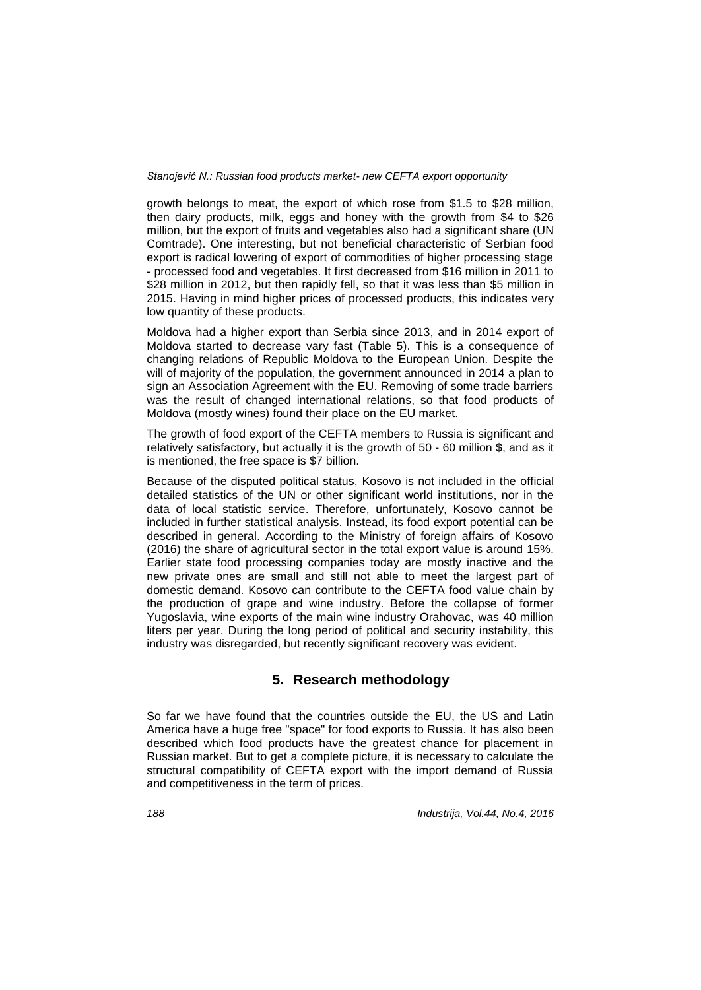growth belongs to meat, the export of which rose from \$1.5 to \$28 million, then dairy products, milk, eggs and honey with the growth from \$4 to \$26 million, but the export of fruits and vegetables also had a significant share (UN Comtrade). One interesting, but not beneficial characteristic of Serbian food export is radical lowering of export of commodities of higher processing stage - processed food and vegetables. It first decreased from \$16 million in 2011 to \$28 million in 2012, but then rapidly fell, so that it was less than \$5 million in 2015. Having in mind higher prices of processed products, this indicates very low quantity of these products.

Moldova had a higher export than Serbia since 2013, and in 2014 export of Moldova started to decrease vary fast (Table 5). This is a consequence of changing relations of Republic Moldova to the European Union. Despite the will of majority of the population, the government announced in 2014 a plan to sign an Association Agreement with the EU. Removing of some trade barriers was the result of changed international relations, so that food products of Moldova (mostly wines) found their place on the EU market.

The growth of food export of the CEFTA members to Russia is significant and relatively satisfactory, but actually it is the growth of 50 - 60 million \$, and as it is mentioned, the free space is \$7 billion.

Because of the disputed political status, Kosovo is not included in the official detailed statistics of the UN or other significant world institutions, nor in the data of local statistic service. Therefore, unfortunately, Kosovo cannot be included in further statistical analysis. Instead, its food export potential can be described in general. According to the Ministry of foreign affairs of Kosovo (2016) the share of agricultural sector in the total export value is around 15%. Earlier state food processing companies today are mostly inactive and the new private ones are small and still not able to meet the largest part of domestic demand. Kosovo can contribute to the CEFTA food value chain by the production of grape and wine industry. Before the collapse of former Yugoslavia, wine exports of the main wine industry Orahovac, was 40 million liters per year. During the long period of political and security instability, this industry was disregarded, but recently significant recovery was evident.

### **5. Research methodology**

So far we have found that the countries outside the EU, the US and Latin America have a huge free "space" for food exports to Russia. It has also been described which food products have the greatest chance for placement in Russian market. But to get a complete picture, it is necessary to calculate the structural compatibility of CEFTA export with the import demand of Russia and competitiveness in the term of prices.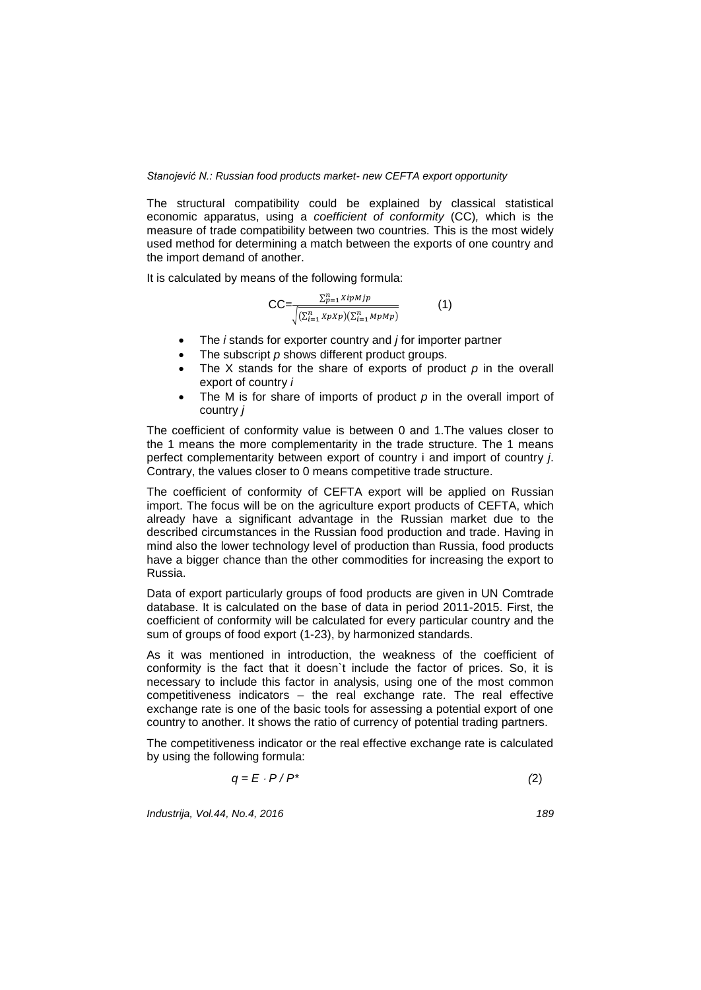The structural compatibility could be explained by classical statistical economic apparatus, using a *coefficient of conformity* (CC)*,* which is the measure of trade compatibility between two countries. This is the most widely used method for determining a match between the exports of one country and the import demand of another.

It is calculated by means of the following formula:

$$
CC = \frac{\sum_{p=1}^{n} XipMjp}{\sqrt{(\sum_{i=1}^{n} XpXp)(\sum_{i=1}^{n} MpMp)}}
$$
(1)

- The *i* stands for exporter country and *j* for importer partner
- The subscript *p* shows different product groups.
- The X stands for the share of exports of product p in the overall export of country *i*
- The M is for share of imports of product *p* in the overall import of country *j*

The coefficient of conformity value is between 0 and 1.The values closer to the 1 means the more complementarity in the trade structure. The 1 means perfect complementarity between export of country i and import of country *j*. Contrary, the values closer to 0 means competitive trade structure.

The coefficient of conformity of CEFTA export will be applied on Russian import. The focus will be on the agriculture export products of CEFTA, which already have a significant advantage in the Russian market due to the described circumstances in the Russian food production and trade. Having in mind also the lower technology level of production than Russia, food products have a bigger chance than the other commodities for increasing the export to Russia.

Data of export particularly groups of food products are given in UN Comtrade database. It is calculated on the base of data in period 2011-2015. First, the coefficient of conformity will be calculated for every particular country and the sum of groups of food export (1-23), by harmonized standards.

As it was mentioned in introduction, the weakness of the coefficient of conformity is the fact that it doesn`t include the factor of prices. So, it is necessary to include this factor in analysis, using one of the most common competitiveness indicators – the real exchange rate. The real effective exchange rate is one of the basic tools for assessing a potential export of one country to another. It shows the ratio of currency of potential trading partners.

The competitiveness indicator or the real effective exchange rate is calculated by using the following formula:

$$
q = E \cdot P / P^* \tag{2}
$$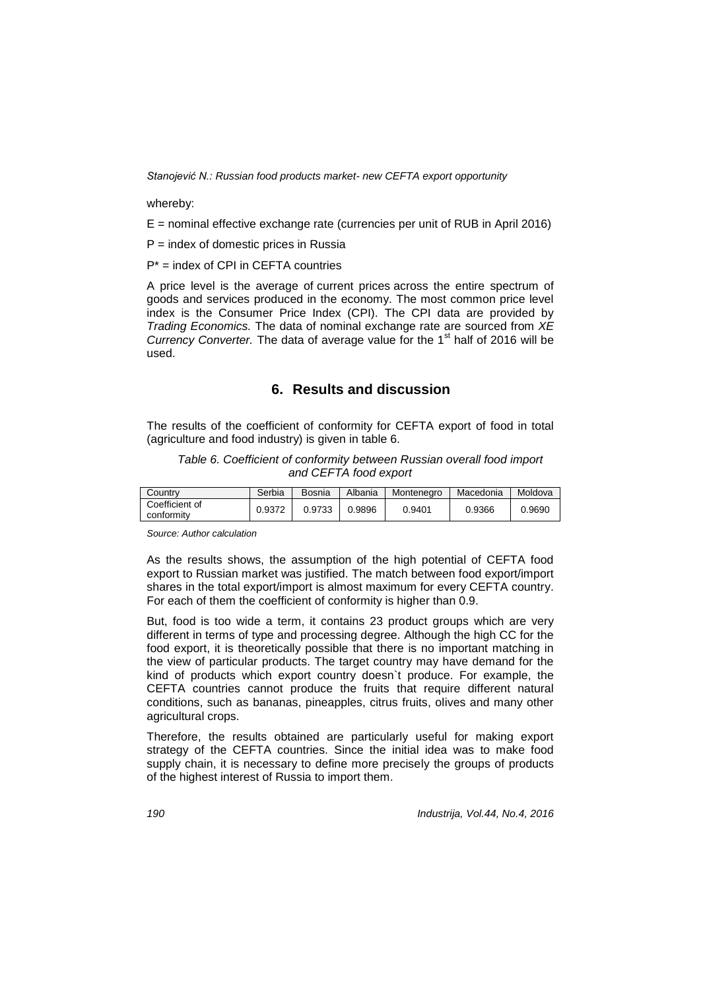whereby:

E = nominal effective exchange rate (currencies per unit of RUB in April 2016)

 $P =$  index of domestic prices in Russia

P\* = index of CPI in CEFTA countries

A price level is the average of current prices across the entire spectrum of goods and services produced in the economy. The most common price level index is the Consumer Price Index (CPI). The CPI data are provided by *Trading Economics.* The data of nominal exchange rate are sourced from *XE Currency Converter.* The data of average value for the 1<sup>st</sup> half of 2016 will be used.

### **6. Results and discussion**

The results of the coefficient of conformity for CEFTA export of food in total (agriculture and food industry) is given in table 6.

*Table 6. Coefficient of conformity between Russian overall food import and CEFTA food export*

| Countrv                      | Serbia | Bosnia | Albania | Montenegro | Macedonia | Moldova |
|------------------------------|--------|--------|---------|------------|-----------|---------|
| Coefficient of<br>conformity | 0.9372 | 0.9733 | 0.9896  | 0.9401     | 0.9366    | 0.9690  |

*Source: Author calculation*

As the results shows, the assumption of the high potential of CEFTA food export to Russian market was justified. The match between food export/import shares in the total export/import is almost maximum for every CEFTA country. For each of them the coefficient of conformity is higher than 0.9.

But, food is too wide a term, it contains 23 product groups which are very different in terms of type and processing degree. Although the high CC for the food export, it is theoretically possible that there is no important matching in the view of particular products. The target country may have demand for the kind of products which export country doesn`t produce. For example, the CEFTA countries cannot produce the fruits that require different natural conditions, such as bananas, pineapples, citrus fruits, olives and many other agricultural crops.

Therefore, the results obtained are particularly useful for making export strategy of the CEFTA countries. Since the initial idea was to make food supply chain, it is necessary to define more precisely the groups of products of the highest interest of Russia to import them.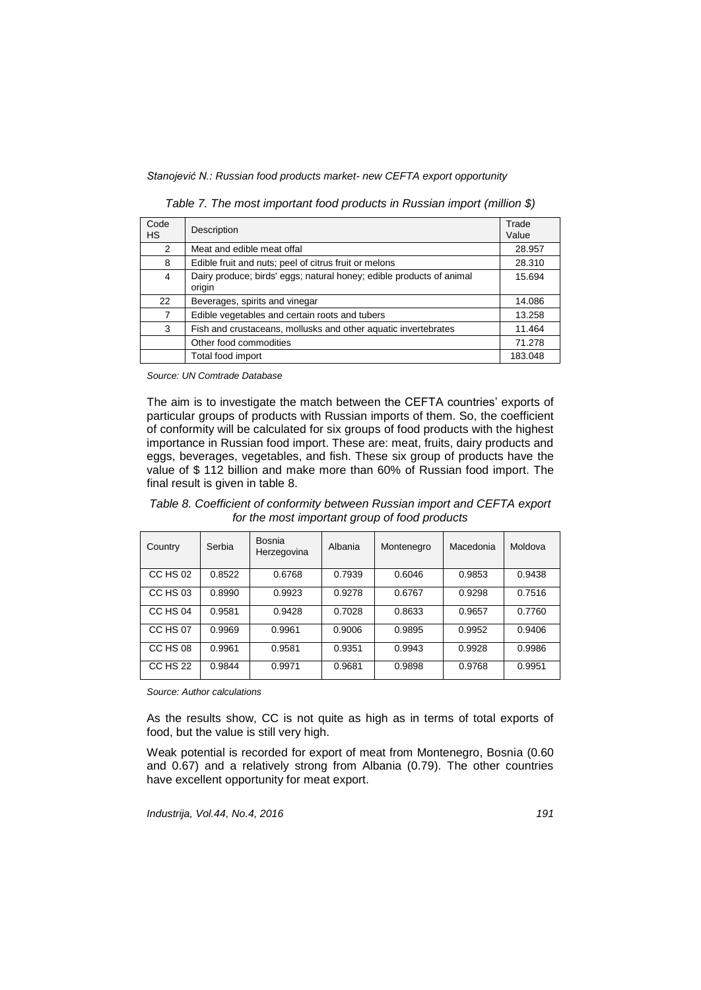| Code<br><b>HS</b> | Description                                                                    | Trade<br>Value |
|-------------------|--------------------------------------------------------------------------------|----------------|
| $\mathcal{P}$     | Meat and edible meat offal                                                     | 28.957         |
| 8                 | Edible fruit and nuts; peel of citrus fruit or melons                          | 28.310         |
| 4                 | Dairy produce; birds' eggs; natural honey; edible products of animal<br>origin | 15.694         |
| 22                | Beverages, spirits and vinegar                                                 | 14.086         |
| 7                 | Edible vegetables and certain roots and tubers                                 | 13.258         |
| 3                 | Fish and crustaceans, mollusks and other aquatic invertebrates                 | 11.464         |
|                   | Other food commodities                                                         | 71.278         |
|                   | Total food import                                                              | 183.048        |

*Table 7. The most important food products in Russian import (million \$)*

*Source: UN Comtrade Database*

The aim is to investigate the match between the CEFTA countries' exports of particular groups of products with Russian imports of them. So, the coefficient of conformity will be calculated for six groups of food products with the highest importance in Russian food import. These are: meat, fruits, dairy products and eggs, beverages, vegetables, and fish. These six group of products have the value of \$ 112 billion and make more than 60% of Russian food import. The final result is given in table 8.

*Table 8. Coefficient of conformity between Russian import and CEFTA export for the most important group of food products*

| Country         | Serbia | Bosnia<br>Herzegovina | Albania | Montenegro | Macedonia | Moldova |
|-----------------|--------|-----------------------|---------|------------|-----------|---------|
| CC HS 02        | 0.8522 | 0.6768                | 0.7939  | 0.6046     | 0.9853    | 0.9438  |
| CC HS 03        | 0.8990 | 0.9923                | 0.9278  | 0.6767     | 0.9298    | 0.7516  |
| CC HS 04        | 0.9581 | 0.9428                | 0.7028  | 0.8633     | 0.9657    | 0.7760  |
| CC HS 07        | 0.9969 | 0.9961                | 0.9006  | 0.9895     | 0.9952    | 0.9406  |
| CC HS 08        | 0.9961 | 0.9581                | 0.9351  | 0.9943     | 0.9928    | 0.9986  |
| <b>CC HS 22</b> | 0.9844 | 0.9971                | 0.9681  | 0.9898     | 0.9768    | 0.9951  |

*Source: Author calculations*

As the results show, CC is not quite as high as in terms of total exports of food, but the value is still very high.

Weak potential is recorded for export of meat from Montenegro, Bosnia (0.60 and 0.67) and a relatively strong from Albania (0.79). The other countries have excellent opportunity for meat export.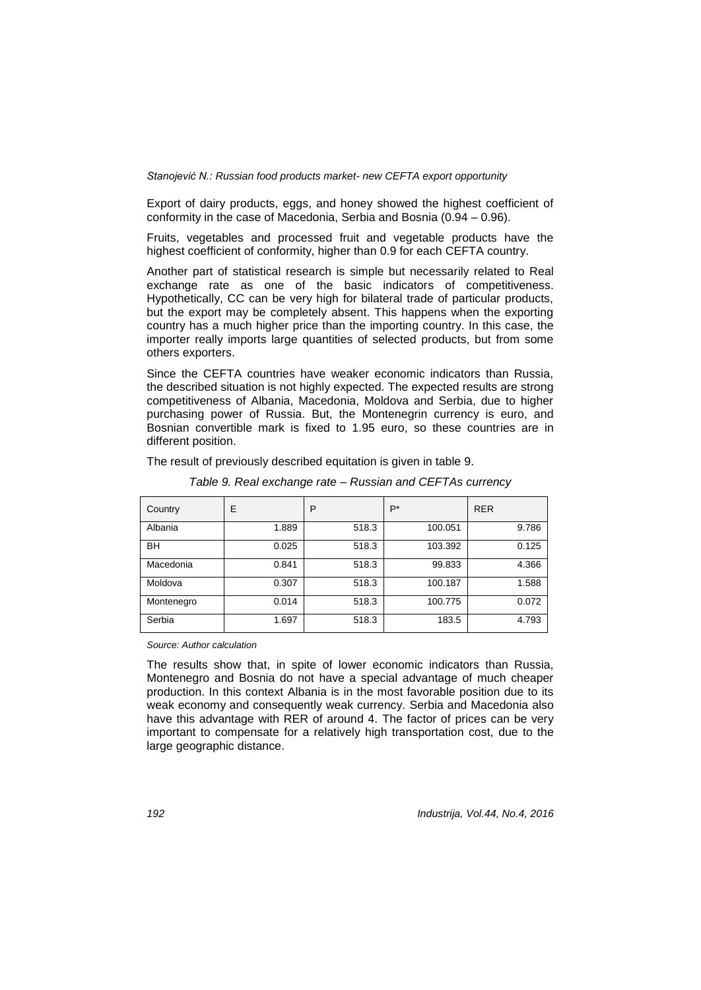Export of dairy products, eggs, and honey showed the highest coefficient of conformity in the case of Macedonia, Serbia and Bosnia (0.94 – 0.96).

Fruits, vegetables and processed fruit and vegetable products have the highest coefficient of conformity, higher than 0.9 for each CEFTA country.

Another part of statistical research is simple but necessarily related to Real exchange rate as one of the basic indicators of competitiveness. Hypothetically, CC can be very high for bilateral trade of particular products, but the export may be completely absent. This happens when the exporting country has a much higher price than the importing country. In this case, the importer really imports large quantities of selected products, but from some others exporters.

Since the CEFTA countries have weaker economic indicators than Russia, the described situation is not highly expected. The expected results are strong competitiveness of Albania, Macedonia, Moldova and Serbia, due to higher purchasing power of Russia. But, the Montenegrin currency is euro, and Bosnian convertible mark is fixed to 1.95 euro, so these countries are in different position.

The result of previously described equitation is given in table 9.

| Country    | E     | P     | $P^*$   | <b>RER</b> |
|------------|-------|-------|---------|------------|
| Albania    | 1.889 | 518.3 | 100.051 | 9.786      |
| BH         | 0.025 | 518.3 | 103.392 | 0.125      |
| Macedonia  | 0.841 | 518.3 | 99.833  | 4.366      |
| Moldova    | 0.307 | 518.3 | 100.187 | 1.588      |
| Montenegro | 0.014 | 518.3 | 100.775 | 0.072      |
| Serbia     | 1.697 | 518.3 | 183.5   | 4.793      |

*Table 9. Real exchange rate – Russian and CEFTAs currency* 

*Source: Author calculation*

The results show that, in spite of lower economic indicators than Russia, Montenegro and Bosnia do not have a special advantage of much cheaper production. In this context Albania is in the most favorable position due to its weak economy and consequently weak currency. Serbia and Macedonia also have this advantage with RER of around 4. The factor of prices can be very important to compensate for a relatively high transportation cost, due to the large geographic distance.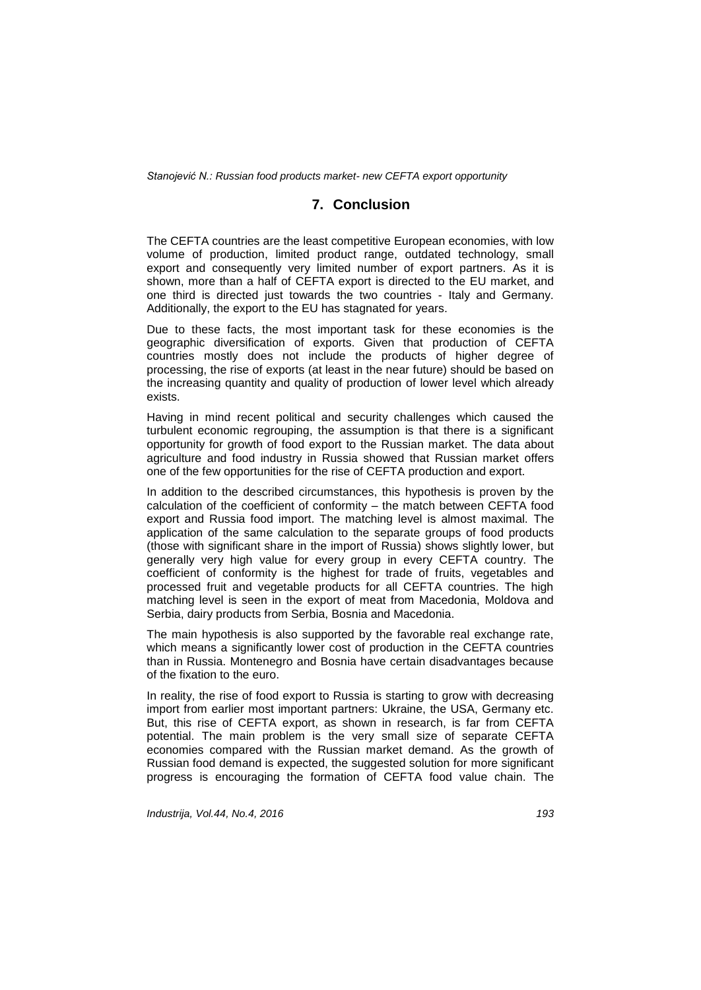# **7. Conclusion**

The CEFTA countries are the least competitive European economies, with low volume of production, limited product range, outdated technology, small export and consequently very limited number of export partners. As it is shown, more than a half of CEFTA export is directed to the EU market, and one third is directed just towards the two countries - Italy and Germany. Additionally, the export to the EU has stagnated for years.

Due to these facts, the most important task for these economies is the geographic diversification of exports. Given that production of CEFTA countries mostly does not include the products of higher degree of processing, the rise of exports (at least in the near future) should be based on the increasing quantity and quality of production of lower level which already exists.

Having in mind recent political and security challenges which caused the turbulent economic regrouping, the assumption is that there is a significant opportunity for growth of food export to the Russian market. The data about agriculture and food industry in Russia showed that Russian market offers one of the few opportunities for the rise of CEFTA production and export.

In addition to the described circumstances, this hypothesis is proven by the calculation of the coefficient of conformity – the match between CEFTA food export and Russia food import. The matching level is almost maximal. The application of the same calculation to the separate groups of food products (those with significant share in the import of Russia) shows slightly lower, but generally very high value for every group in every CEFTA country. The coefficient of conformity is the highest for trade of fruits, vegetables and processed fruit and vegetable products for all CEFTA countries. The high matching level is seen in the export of meat from Macedonia, Moldova and Serbia, dairy products from Serbia, Bosnia and Macedonia.

The main hypothesis is also supported by the favorable real exchange rate, which means a significantly lower cost of production in the CEFTA countries than in Russia. Montenegro and Bosnia have certain disadvantages because of the fixation to the euro.

In reality, the rise of food export to Russia is starting to grow with decreasing import from earlier most important partners: Ukraine, the USA, Germany etc. But, this rise of CEFTA export, as shown in research, is far from CEFTA potential. The main problem is the very small size of separate CEFTA economies compared with the Russian market demand. As the growth of Russian food demand is expected, the suggested solution for more significant progress is encouraging the formation of CEFTA food value chain. The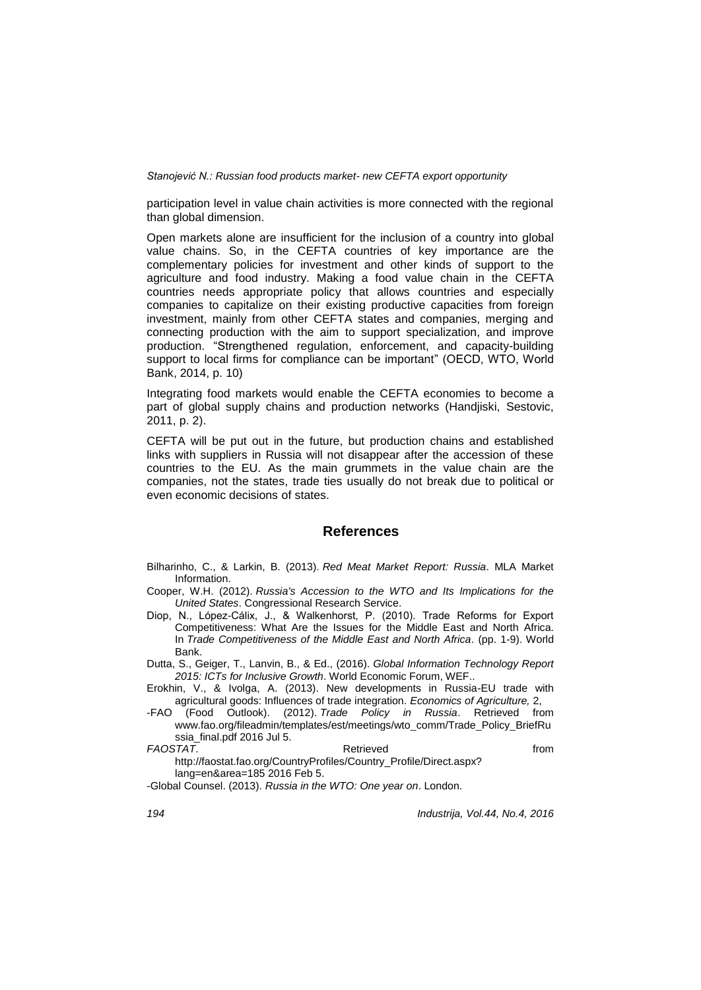participation level in value chain activities is more connected with the regional than global dimension.

Open markets alone are insufficient for the inclusion of a country into global value chains. So, in the CEFTA countries of key importance are the complementary policies for investment and other kinds of support to the agriculture and food industry. Making a food value chain in the CEFTA countries needs appropriate policy that allows countries and especially companies to capitalize on their existing productive capacities from foreign investment, mainly from other CEFTA states and companies, merging and connecting production with the aim to support specialization, and improve production. "Strengthened regulation, enforcement, and capacity-building support to local firms for compliance can be important" (OECD, WTO, World Bank, 2014, p. 10)

Integrating food markets would enable the CEFTA economies to become a part of global supply chains and production networks (Handjiski, Sestovic, 2011, p. 2).

CEFTA will be put out in the future, but production chains and established links with suppliers in Russia will not disappear after the accession of these countries to the EU. As the main grummets in the value chain are the companies, not the states, trade ties usually do not break due to political or even economic decisions of states.

### **References**

Bilharinho, C., & Larkin, B. (2013). *Red Meat Market Report: Russia*. MLA Market Information.

- Cooper, W.H. (2012). *Russia's Accession to the WTO and Its Implications for the United States*. Congressional Research Service.
- Diop, N., López-Cálix, J., & Walkenhorst, P. (2010). Trade Reforms for Export Competitiveness: What Are the Issues for the Middle East and North Africa. In *Trade Competitiveness of the Middle East and North Africa*. (pp. 1-9). World Bank.

Dutta, S., Geiger, T., Lanvin, B., & Ed., (2016). *Global Information Technology Report 2015: ICTs for Inclusive Growth*. World Economic Forum, WEF..

Erokhin, V., & Ivolga, A. (2013). New developments in Russia-EU trade with agricultural goods: Influences of trade integration. *Economics of Agriculture,* 2,

-FAO (Food Outlook). (2012). *Trade Policy in Russia*. Retrieved from www.fao.org/fileadmin/templates/est/meetings/wto\_comm/Trade\_Policy\_BriefRu ssia\_final.pdf 2016 Jul 5.

*FAOSTAT*. The contract of the retrieved from the retrieved from the from the from the from the from the from the from the from the from the from the from the from the from the from the from the from the from the from th http://faostat.fao.org/CountryProfiles/Country\_Profile/Direct.aspx? lang=en&area=185 2016 Feb 5.

-Global Counsel. (2013). *Russia in the WTO: One year on*. London.